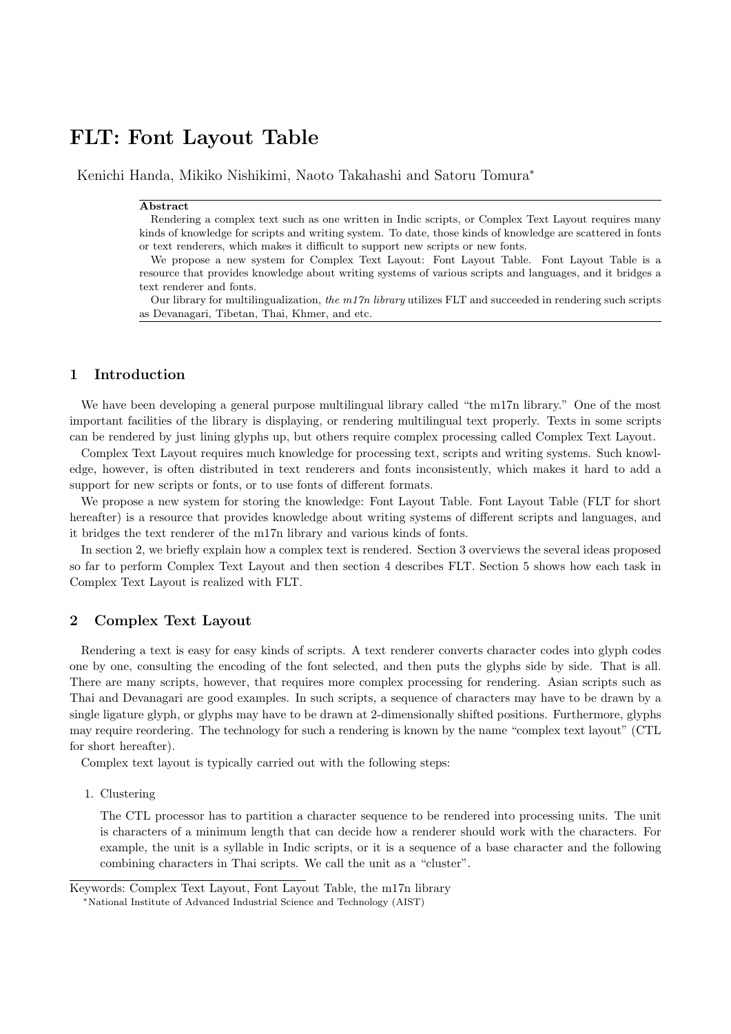# FLT: Font Layout Table

Kenichi Handa, Mikiko Nishikimi, Naoto Takahashi and Satoru Tomura<sup>∗</sup>

## Abstract

Rendering a complex text such as one written in Indic scripts, or Complex Text Layout requires many kinds of knowledge for scripts and writing system. To date, those kinds of knowledge are scattered in fonts or text renderers, which makes it difficult to support new scripts or new fonts.

We propose a new system for Complex Text Layout: Font Layout Table. Font Layout Table is a resource that provides knowledge about writing systems of various scripts and languages, and it bridges a text renderer and fonts.

Our library for multilingualization, the  $m17n$  library utilizes FLT and succeeded in rendering such scripts as Devanagari, Tibetan, Thai, Khmer, and etc.

# 1 Introduction

We have been developing a general purpose multilingual library called "the m17n library." One of the most important facilities of the library is displaying, or rendering multilingual text properly. Texts in some scripts can be rendered by just lining glyphs up, but others require complex processing called Complex Text Layout.

Complex Text Layout requires much knowledge for processing text, scripts and writing systems. Such knowledge, however, is often distributed in text renderers and fonts inconsistently, which makes it hard to add a support for new scripts or fonts, or to use fonts of different formats.

We propose a new system for storing the knowledge: Font Layout Table. Font Layout Table (FLT for short hereafter) is a resource that provides knowledge about writing systems of different scripts and languages, and it bridges the text renderer of the m17n library and various kinds of fonts.

In section 2, we briefly explain how a complex text is rendered. Section 3 overviews the several ideas proposed so far to perform Complex Text Layout and then section 4 describes FLT. Section 5 shows how each task in Complex Text Layout is realized with FLT.

## 2 Complex Text Layout

Rendering a text is easy for easy kinds of scripts. A text renderer converts character codes into glyph codes one by one, consulting the encoding of the font selected, and then puts the glyphs side by side. That is all. There are many scripts, however, that requires more complex processing for rendering. Asian scripts such as Thai and Devanagari are good examples. In such scripts, a sequence of characters may have to be drawn by a single ligature glyph, or glyphs may have to be drawn at 2-dimensionally shifted positions. Furthermore, glyphs may require reordering. The technology for such a rendering is known by the name "complex text layout" (CTL for short hereafter).

Complex text layout is typically carried out with the following steps:

1. Clustering

The CTL processor has to partition a character sequence to be rendered into processing units. The unit is characters of a minimum length that can decide how a renderer should work with the characters. For example, the unit is a syllable in Indic scripts, or it is a sequence of a base character and the following combining characters in Thai scripts. We call the unit as a "cluster".

Keywords: Complex Text Layout, Font Layout Table, the m17n library

<sup>∗</sup>National Institute of Advanced Industrial Science and Technology (AIST)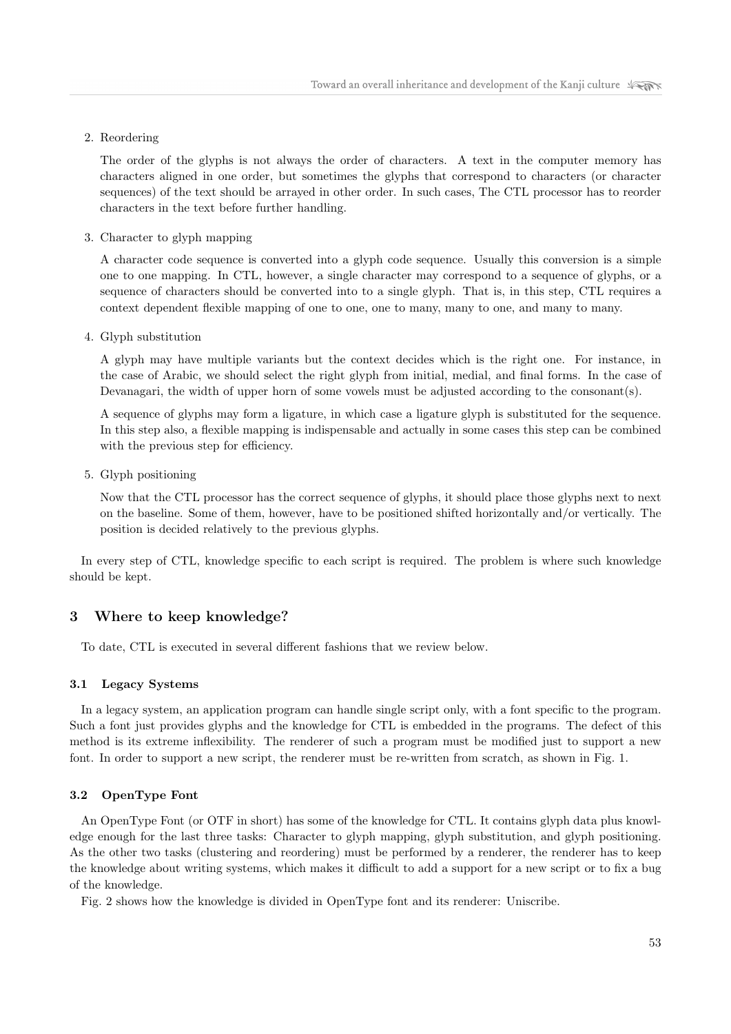2. Reordering

The order of the glyphs is not always the order of characters. A text in the computer memory has characters aligned in one order, but sometimes the glyphs that correspond to characters (or character sequences) of the text should be arrayed in other order. In such cases, The CTL processor has to reorder characters in the text before further handling.

3. Character to glyph mapping

A character code sequence is converted into a glyph code sequence. Usually this conversion is a simple one to one mapping. In CTL, however, a single character may correspond to a sequence of glyphs, or a sequence of characters should be converted into to a single glyph. That is, in this step, CTL requires a context dependent flexible mapping of one to one, one to many, many to one, and many to many.

4. Glyph substitution

A glyph may have multiple variants but the context decides which is the right one. For instance, in the case of Arabic, we should select the right glyph from initial, medial, and final forms. In the case of Devanagari, the width of upper horn of some vowels must be adjusted according to the consonant(s).

A sequence of glyphs may form a ligature, in which case a ligature glyph is substituted for the sequence. In this step also, a flexible mapping is indispensable and actually in some cases this step can be combined with the previous step for efficiency.

5. Glyph positioning

Now that the CTL processor has the correct sequence of glyphs, it should place those glyphs next to next on the baseline. Some of them, however, have to be positioned shifted horizontally and/or vertically. The position is decided relatively to the previous glyphs.

In every step of CTL, knowledge specific to each script is required. The problem is where such knowledge should be kept.

# 3 Where to keep knowledge?

To date, CTL is executed in several different fashions that we review below.

## 3.1 Legacy Systems

In a legacy system, an application program can handle single script only, with a font specific to the program. Such a font just provides glyphs and the knowledge for CTL is embedded in the programs. The defect of this method is its extreme inflexibility. The renderer of such a program must be modified just to support a new font. In order to support a new script, the renderer must be re-written from scratch, as shown in Fig. 1.

## 3.2 OpenType Font

An OpenType Font (or OTF in short) has some of the knowledge for CTL. It contains glyph data plus knowledge enough for the last three tasks: Character to glyph mapping, glyph substitution, and glyph positioning. As the other two tasks (clustering and reordering) must be performed by a renderer, the renderer has to keep the knowledge about writing systems, which makes it difficult to add a support for a new script or to fix a bug of the knowledge.

Fig. 2 shows how the knowledge is divided in OpenType font and its renderer: Uniscribe.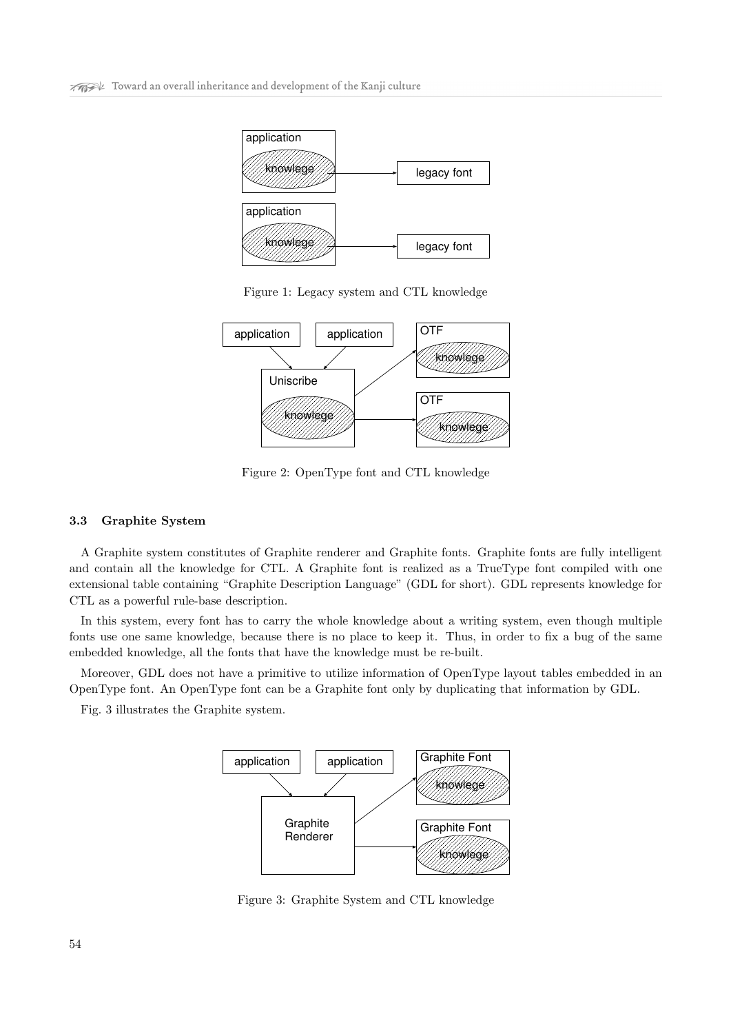

Figure 1: Legacy system and CTL knowledge



Figure 2: OpenType font and CTL knowledge

# 3.3 Graphite System

A Graphite system constitutes of Graphite renderer and Graphite fonts. Graphite fonts are fully intelligent and contain all the knowledge for CTL. A Graphite font is realized as a TrueType font compiled with one extensional table containing "Graphite Description Language" (GDL for short). GDL represents knowledge for CTL as a powerful rule-base description.

In this system, every font has to carry the whole knowledge about a writing system, even though multiple fonts use one same knowledge, because there is no place to keep it. Thus, in order to fix a bug of the same embedded knowledge, all the fonts that have the knowledge must be re-built.

Moreover, GDL does not have a primitive to utilize information of OpenType layout tables embedded in an OpenType font. An OpenType font can be a Graphite font only by duplicating that information by GDL.

Fig. 3 illustrates the Graphite system.



Figure 3: Graphite System and CTL knowledge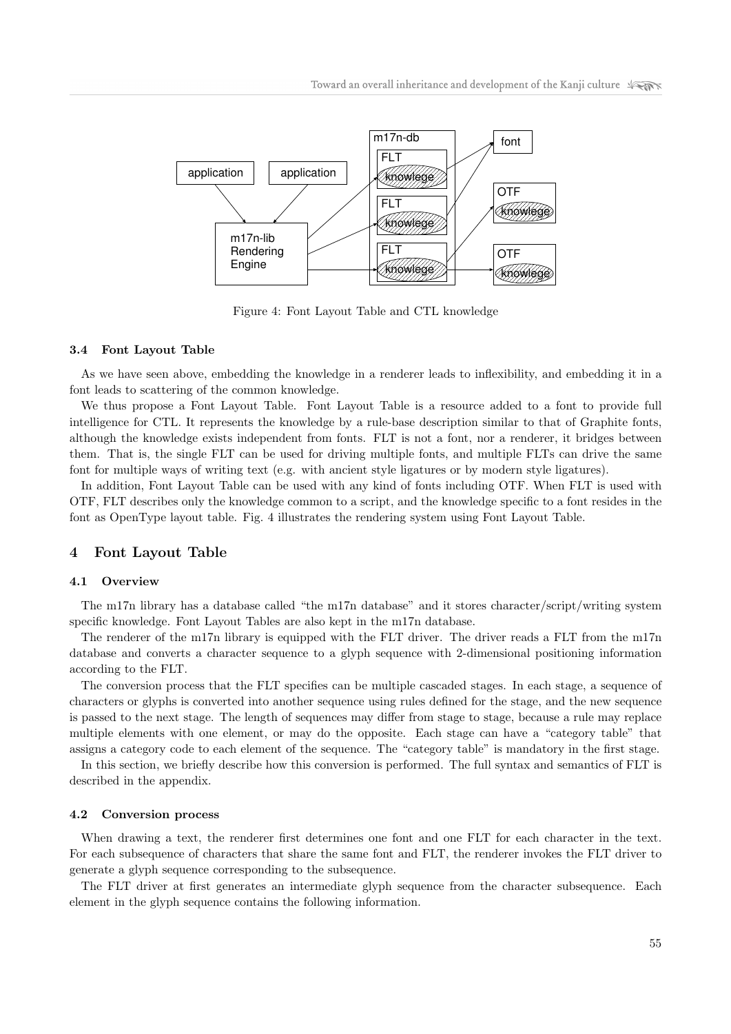

Figure 4: Font Layout Table and CTL knowledge

#### 3.4 Font Layout Table

As we have seen above, embedding the knowledge in a renderer leads to inflexibility, and embedding it in a font leads to scattering of the common knowledge.

We thus propose a Font Layout Table. Font Layout Table is a resource added to a font to provide full intelligence for CTL. It represents the knowledge by a rule-base description similar to that of Graphite fonts, although the knowledge exists independent from fonts. FLT is not a font, nor a renderer, it bridges between them. That is, the single FLT can be used for driving multiple fonts, and multiple FLTs can drive the same font for multiple ways of writing text (e.g. with ancient style ligatures or by modern style ligatures).

In addition, Font Layout Table can be used with any kind of fonts including OTF. When FLT is used with OTF, FLT describes only the knowledge common to a script, and the knowledge specific to a font resides in the font as OpenType layout table. Fig. 4 illustrates the rendering system using Font Layout Table.

## 4 Font Layout Table

#### 4.1 Overview

The m17n library has a database called "the m17n database" and it stores character/script/writing system specific knowledge. Font Layout Tables are also kept in the m17n database.

The renderer of the m17n library is equipped with the FLT driver. The driver reads a FLT from the m17n database and converts a character sequence to a glyph sequence with 2-dimensional positioning information according to the FLT.

The conversion process that the FLT specifies can be multiple cascaded stages. In each stage, a sequence of characters or glyphs is converted into another sequence using rules defined for the stage, and the new sequence is passed to the next stage. The length of sequences may differ from stage to stage, because a rule may replace multiple elements with one element, or may do the opposite. Each stage can have a "category table" that assigns a category code to each element of the sequence. The "category table" is mandatory in the first stage.

In this section, we briefly describe how this conversion is performed. The full syntax and semantics of FLT is described in the appendix.

## 4.2 Conversion process

When drawing a text, the renderer first determines one font and one FLT for each character in the text. For each subsequence of characters that share the same font and FLT, the renderer invokes the FLT driver to generate a glyph sequence corresponding to the subsequence.

The FLT driver at first generates an intermediate glyph sequence from the character subsequence. Each element in the glyph sequence contains the following information.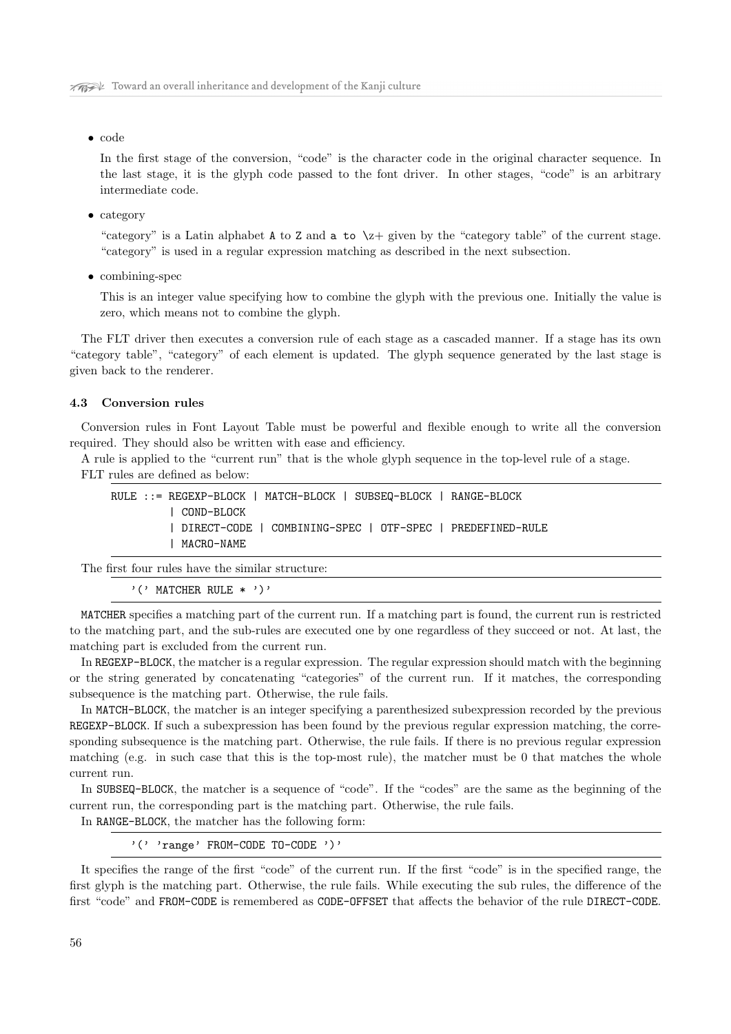• code

In the first stage of the conversion, "code" is the character code in the original character sequence. In the last stage, it is the glyph code passed to the font driver. In other stages, "code" is an arbitrary intermediate code.

• category

"category" is a Latin alphabet A to Z and a to  $\zeta$  given by the "category table" of the current stage. "category" is used in a regular expression matching as described in the next subsection.

• combining-spec

This is an integer value specifying how to combine the glyph with the previous one. Initially the value is zero, which means not to combine the glyph.

The FLT driver then executes a conversion rule of each stage as a cascaded manner. If a stage has its own "category table", "category" of each element is updated. The glyph sequence generated by the last stage is given back to the renderer.

#### 4.3 Conversion rules

Conversion rules in Font Layout Table must be powerful and flexible enough to write all the conversion required. They should also be written with ease and efficiency.

A rule is applied to the "current run" that is the whole glyph sequence in the top-level rule of a stage. FLT rules are defined as below:

RULE ::= REGEXP-BLOCK | MATCH-BLOCK | SUBSEQ-BLOCK | RANGE-BLOCK | COND-BLOCK | DIRECT-CODE | COMBINING-SPEC | OTF-SPEC | PREDEFINED-RULE | MACRO-NAME

The first four rules have the similar structure:

'(' MATCHER RULE \* ')'

MATCHER specifies a matching part of the current run. If a matching part is found, the current run is restricted to the matching part, and the sub-rules are executed one by one regardless of they succeed or not. At last, the matching part is excluded from the current run.

In REGEXP-BLOCK, the matcher is a regular expression. The regular expression should match with the beginning or the string generated by concatenating "categories" of the current run. If it matches, the corresponding subsequence is the matching part. Otherwise, the rule fails.

In MATCH-BLOCK, the matcher is an integer specifying a parenthesized subexpression recorded by the previous REGEXP-BLOCK. If such a subexpression has been found by the previous regular expression matching, the corresponding subsequence is the matching part. Otherwise, the rule fails. If there is no previous regular expression matching (e.g. in such case that this is the top-most rule), the matcher must be 0 that matches the whole current run.

In SUBSEQ-BLOCK, the matcher is a sequence of "code". If the "codes" are the same as the beginning of the current run, the corresponding part is the matching part. Otherwise, the rule fails.

In RANGE-BLOCK, the matcher has the following form:

'(' 'range' FROM-CODE TO-CODE ')'

It specifies the range of the first "code" of the current run. If the first "code" is in the specified range, the first glyph is the matching part. Otherwise, the rule fails. While executing the sub rules, the difference of the first "code" and FROM-CODE is remembered as CODE-OFFSET that affects the behavior of the rule DIRECT-CODE.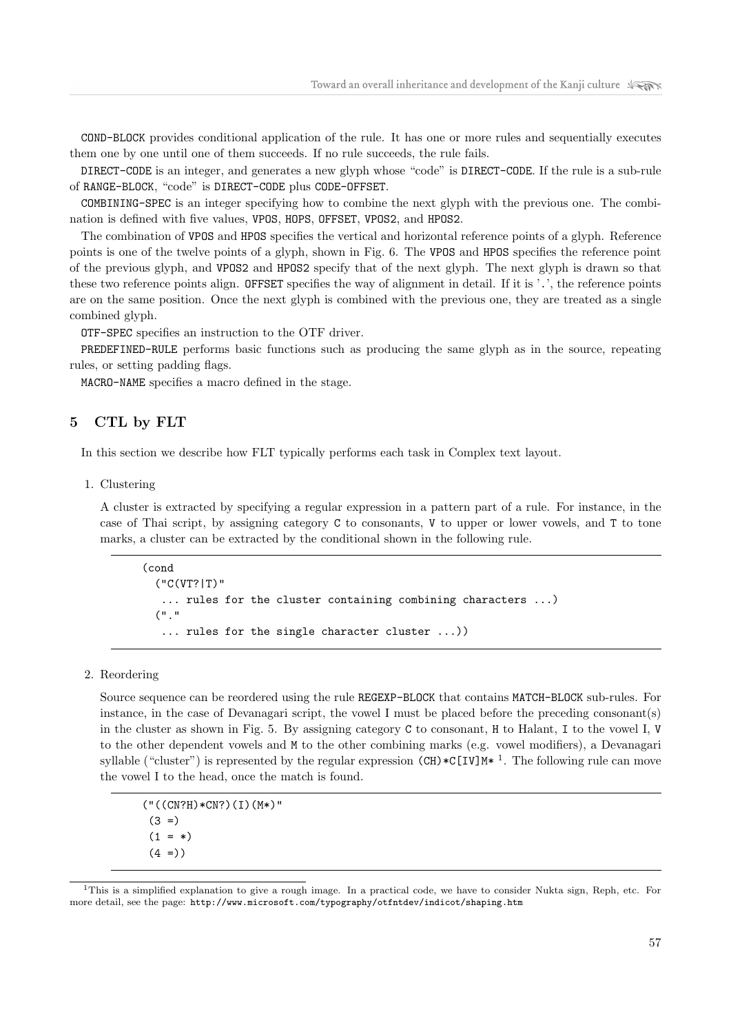COND-BLOCK provides conditional application of the rule. It has one or more rules and sequentially executes them one by one until one of them succeeds. If no rule succeeds, the rule fails.

DIRECT-CODE is an integer, and generates a new glyph whose "code" is DIRECT-CODE. If the rule is a sub-rule of RANGE-BLOCK, "code" is DIRECT-CODE plus CODE-OFFSET.

COMBINING-SPEC is an integer specifying how to combine the next glyph with the previous one. The combination is defined with five values, VPOS, HOPS, OFFSET, VPOS2, and HPOS2.

The combination of VPOS and HPOS specifies the vertical and horizontal reference points of a glyph. Reference points is one of the twelve points of a glyph, shown in Fig. 6. The VPOS and HPOS specifies the reference point of the previous glyph, and VPOS2 and HPOS2 specify that of the next glyph. The next glyph is drawn so that these two reference points align. OFFSET specifies the way of alignment in detail. If it is '.', the reference points are on the same position. Once the next glyph is combined with the previous one, they are treated as a single combined glyph.

OTF-SPEC specifies an instruction to the OTF driver.

PREDEFINED-RULE performs basic functions such as producing the same glyph as in the source, repeating rules, or setting padding flags.

MACRO-NAME specifies a macro defined in the stage.

# 5 CTL by FLT

In this section we describe how FLT typically performs each task in Complex text layout.

1. Clustering

A cluster is extracted by specifying a regular expression in a pattern part of a rule. For instance, in the case of Thai script, by assigning category C to consonants, V to upper or lower vowels, and T to tone marks, a cluster can be extracted by the conditional shown in the following rule.

```
(cond
  ("C(VT?|T)"
   ... rules for the cluster containing combining characters ...)
  ("."
   ... rules for the single character cluster ...))
```
## 2. Reordering

Source sequence can be reordered using the rule REGEXP-BLOCK that contains MATCH-BLOCK sub-rules. For instance, in the case of Devanagari script, the vowel I must be placed before the preceding consonant(s) in the cluster as shown in Fig. 5. By assigning category C to consonant, H to Halant, I to the vowel I, V to the other dependent vowels and M to the other combining marks (e.g. vowel modifiers), a Devanagari syllable ("cluster") is represented by the regular expression  $(CH) * C[IV]M * 1$ . The following rule can move the vowel I to the head, once the match is found.

```
("((CN?H)*CN?)(I)(M*)"
(3 =)(1 = *)(4 = )
```
<sup>1</sup>This is a simplified explanation to give a rough image. In a practical code, we have to consider Nukta sign, Reph, etc. For more detail, see the page: http://www.microsoft.com/typography/otfntdev/indicot/shaping.htm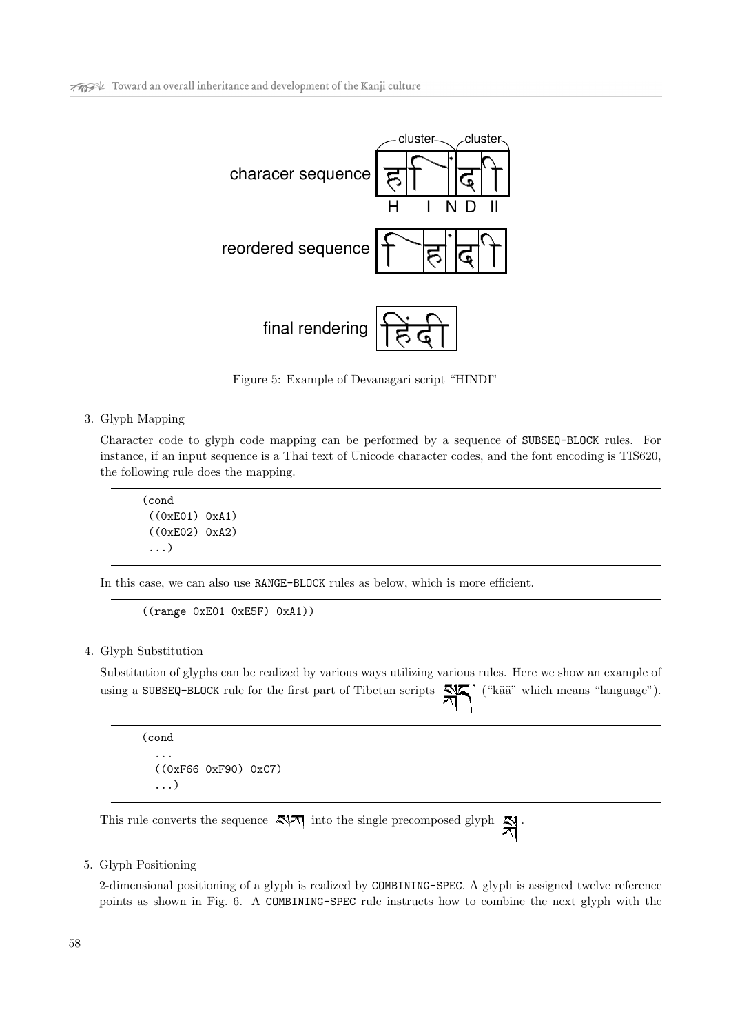

Figure 5: Example of Devanagari script "HINDI"

3. Glyph Mapping

Character code to glyph code mapping can be performed by a sequence of SUBSEQ-BLOCK rules. For instance, if an input sequence is a Thai text of Unicode character codes, and the font encoding is TIS620, the following rule does the mapping.

(cond ((0xE01) 0xA1) ((0xE02) 0xA2) ...)

In this case, we can also use RANGE-BLOCK rules as below, which is more efficient.

((range 0xE01 0xE5F) 0xA1))

## 4. Glyph Substitution

Substitution of glyphs can be realized by various ways utilizing various rules. Here we show an example of using a SUBSEQ-BLOCK rule for the first part of Tibetan scripts  $\mathbb{N}$ , ("kää" which means "language").

(cond ... ((0xF66 0xF90) 0xC7) ...)

This rule converts the sequence  $\frac{1}{\sqrt{2}}$  into the single precomposed glyph

## 5. Glyph Positioning

2-dimensional positioning of a glyph is realized by COMBINING-SPEC. A glyph is assigned twelve reference points as shown in Fig. 6. A COMBINING-SPEC rule instructs how to combine the next glyph with the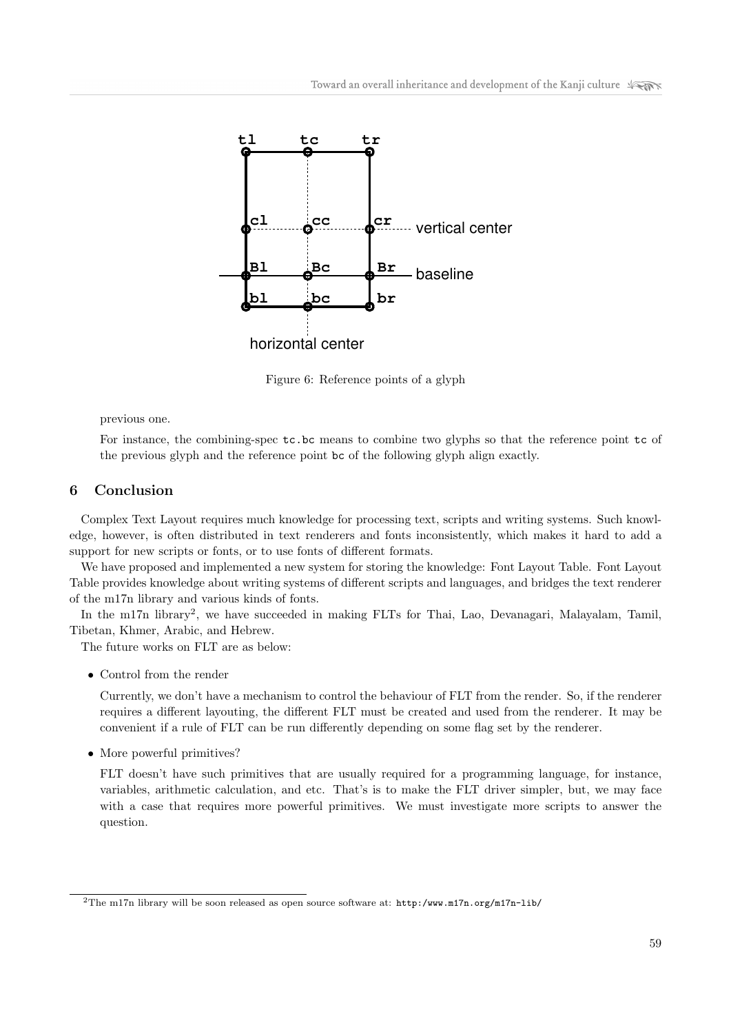

Figure 6: Reference points of a glyph

## previous one.

For instance, the combining-spec  $tc.bc$  means to combine two glyphs so that the reference point  $tc$  of the previous glyph and the reference point bc of the following glyph align exactly.

# 6 Conclusion

Complex Text Layout requires much knowledge for processing text, scripts and writing systems. Such knowledge, however, is often distributed in text renderers and fonts inconsistently, which makes it hard to add a support for new scripts or fonts, or to use fonts of different formats.

We have proposed and implemented a new system for storing the knowledge: Font Layout Table. Font Layout Table provides knowledge about writing systems of different scripts and languages, and bridges the text renderer of the m17n library and various kinds of fonts.

In the m17n library<sup>2</sup>, we have succeeded in making FLTs for Thai, Lao, Devanagari, Malayalam, Tamil, Tibetan, Khmer, Arabic, and Hebrew.

The future works on FLT are as below:

• Control from the render

Currently, we don't have a mechanism to control the behaviour of FLT from the render. So, if the renderer requires a different layouting, the different FLT must be created and used from the renderer. It may be convenient if a rule of FLT can be run differently depending on some flag set by the renderer.

• More powerful primitives?

FLT doesn't have such primitives that are usually required for a programming language, for instance, variables, arithmetic calculation, and etc. That's is to make the FLT driver simpler, but, we may face with a case that requires more powerful primitives. We must investigate more scripts to answer the question.

<sup>&</sup>lt;sup>2</sup>The m17n library will be soon released as open source software at: http:/www.m17n.org/m17n-lib/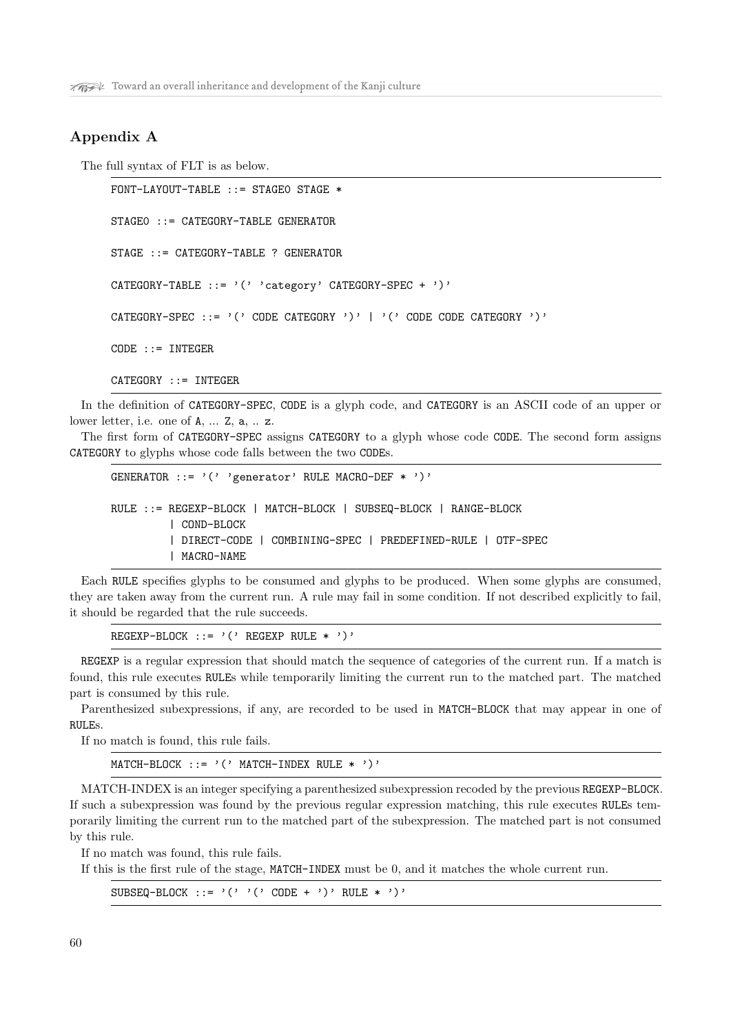# Appendix A

The full syntax of FLT is as below.

```
FONT-LAYOUT-TABLE ::= STAGEO STAGE *
STAGE0 ::= CATEGORY-TABLE GENERATOR
STAGE ::= CATEGORY-TABLE ? GENERATOR
CATEGORY-TABLE ::= '(' 'category' CATEGORY-SPEC + ')'
CATEGORY-SPEC ::= '(' CODE CATEGORY ')' | '(' CODE CODE CATEGORY ')'
CODE ::= INTERERCATEGORY ::= INTEGER
```
In the definition of CATEGORY-SPEC, CODE is a glyph code, and CATEGORY is an ASCII code of an upper or lower letter, i.e. one of A, ... Z, a, .. z.

The first form of CATEGORY-SPEC assigns CATEGORY to a glyph whose code CODE. The second form assigns CATEGORY to glyphs whose code falls between the two CODEs.

```
GENERATOR ::= '(' 'generator' RULE MACRO-DEF * ')'
RULE ::= REGEXP-BLOCK | MATCH-BLOCK | SUBSEQ-BLOCK | RANGE-BLOCK
         | COND-BLOCK
         | DIRECT-CODE | COMBINING-SPEC | PREDEFINED-RULE | OTF-SPEC
         | MACRO-NAME
```
Each RULE specifies glyphs to be consumed and glyphs to be produced. When some glyphs are consumed, they are taken away from the current run. A rule may fail in some condition. If not described explicitly to fail, it should be regarded that the rule succeeds.

REGEXP-BLOCK ::=  $'(')$  REGEXP RULE \* ')'

REGEXP is a regular expression that should match the sequence of categories of the current run. If a match is found, this rule executes RULEs while temporarily limiting the current run to the matched part. The matched part is consumed by this rule.

Parenthesized subexpressions, if any, are recorded to be used in MATCH-BLOCK that may appear in one of RULEs.

If no match is found, this rule fails.

MATCH-BLOCK  $::=$  '(' MATCH-INDEX RULE \* ')'

MATCH-INDEX is an integer specifying a parenthesized subexpression recoded by the previous REGEXP-BLOCK. If such a subexpression was found by the previous regular expression matching, this rule executes RULEs temporarily limiting the current run to the matched part of the subexpression. The matched part is not consumed by this rule.

If no match was found, this rule fails.

If this is the first rule of the stage, MATCH-INDEX must be 0, and it matches the whole current run.

 $\texttt{SUBSEQ-BLOGY} \texttt{::= '(' '(' CODE + ')}' RULE * ')}'$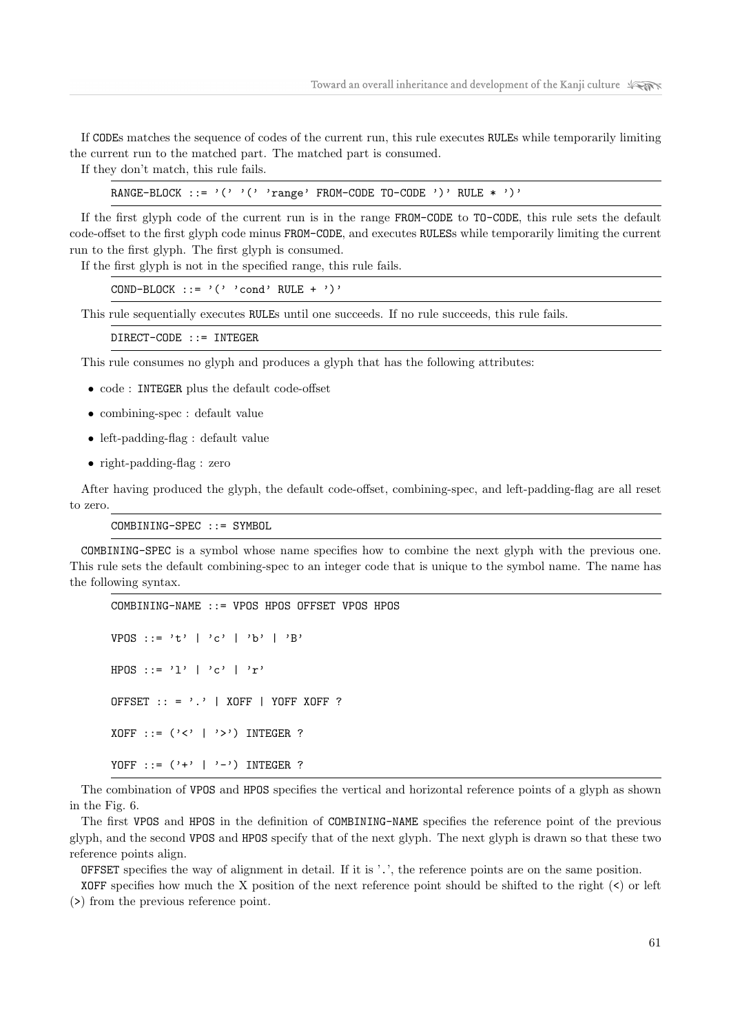If CODEs matches the sequence of codes of the current run, this rule executes RULEs while temporarily limiting the current run to the matched part. The matched part is consumed.

If they don't match, this rule fails.

RANGE-BLOCK ::= '(' '(' 'range' FROM-CODE TO-CODE ')' RULE \* ')'

If the first glyph code of the current run is in the range FROM-CODE to TO-CODE, this rule sets the default code-offset to the first glyph code minus FROM-CODE, and executes RULESs while temporarily limiting the current run to the first glyph. The first glyph is consumed.

If the first glyph is not in the specified range, this rule fails.

COND-BLOCK ::=  $'( ' 'cond' RULE + '')'$ 

This rule sequentially executes RULEs until one succeeds. If no rule succeeds, this rule fails.

DIRECT-CODE ::= INTEGER

This rule consumes no glyph and produces a glyph that has the following attributes:

- code : INTEGER plus the default code-offset
- combining-spec : default value
- left-padding-flag : default value
- right-padding-flag : zero

After having produced the glyph, the default code-offset, combining-spec, and left-padding-flag are all reset to zero.

COMBINING-SPEC ::= SYMBOL

COMBINING-SPEC is a symbol whose name specifies how to combine the next glyph with the previous one. This rule sets the default combining-spec to an integer code that is unique to the symbol name. The name has the following syntax.

```
COMBINING-NAME ::= VPOS HPOS OFFSET VPOS HPOS
VPOS ::= 't' | 'c' | 'b' | 'B'
HPOS ::= 'l' | 'c' | 'r'
OFFSET :: = '.' | XOFF | YOFF XOFF ?
XOFF ::= ('<' | '>') INTEGR?
YOFF ::= ('+' | '-') INTEGER ?
```
The combination of VPOS and HPOS specifies the vertical and horizontal reference points of a glyph as shown in the Fig. 6.

The first VPOS and HPOS in the definition of COMBINING-NAME specifies the reference point of the previous glyph, and the second VPOS and HPOS specify that of the next glyph. The next glyph is drawn so that these two reference points align.

OFFSET specifies the way of alignment in detail. If it is '.', the reference points are on the same position.

XOFF specifies how much the X position of the next reference point should be shifted to the right  $(\le)$  or left (>) from the previous reference point.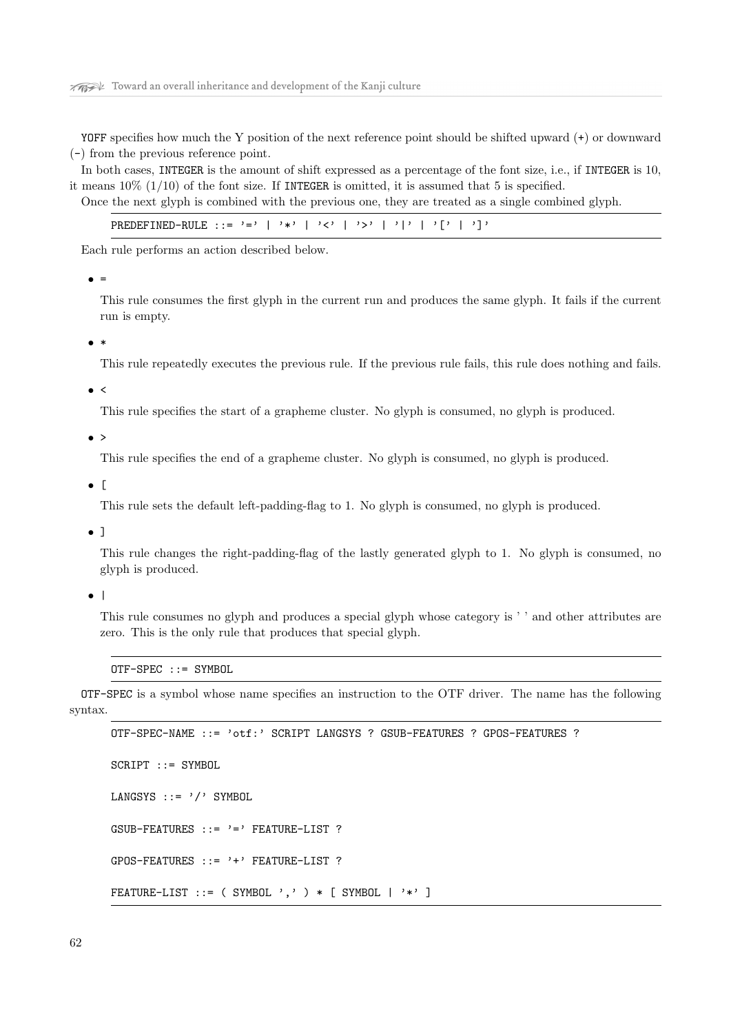YOFF specifies how much the Y position of the next reference point should be shifted upward (+) or downward (-) from the previous reference point.

In both cases, INTEGER is the amount of shift expressed as a percentage of the font size, i.e., if INTEGER is 10, it means  $10\%$  (1/10) of the font size. If INTEGER is omitted, it is assumed that 5 is specified.

Once the next glyph is combined with the previous one, they are treated as a single combined glyph.

| PREDEFINED-RULE ::= '='   '*'   '<'   '>'   ' '   '['   ']' |  |  |  |  |  |  |  |  |
|-------------------------------------------------------------|--|--|--|--|--|--|--|--|
|-------------------------------------------------------------|--|--|--|--|--|--|--|--|

Each rule performs an action described below.

 $\bullet =$ 

This rule consumes the first glyph in the current run and produces the same glyph. It fails if the current run is empty.

• \*

This rule repeatedly executes the previous rule. If the previous rule fails, this rule does nothing and fails.

#### $\bullet$  <

This rule specifies the start of a grapheme cluster. No glyph is consumed, no glyph is produced.

 $\bullet$  >

This rule specifies the end of a grapheme cluster. No glyph is consumed, no glyph is produced.

• [

This rule sets the default left-padding-flag to 1. No glyph is consumed, no glyph is produced.

• ]

This rule changes the right-padding-flag of the lastly generated glyph to 1. No glyph is consumed, no glyph is produced.

• |

This rule consumes no glyph and produces a special glyph whose category is ' ' and other attributes are zero. This is the only rule that produces that special glyph.

OTF-SPEC ::= SYMBOL

OTF-SPEC is a symbol whose name specifies an instruction to the OTF driver. The name has the following syntax.

```
OTF-SPEC-NAME ::= 'otf:' SCRIPT LANGSYS ? GSUB-FEATURES ? GPOS-FEATURES ?
SCRIPT ::= SYMBOL
LANGSYS ::= '/' SYMBOL
GSUB-FEATURES ::= '=' FEATURE-LIST ?
GPOS-FEATURES ::= '+' FEATURE-LIST ?
FEATURE-LIST ::= ( SYMBOL ',' ) * [ SYMBOL | '*' ]
```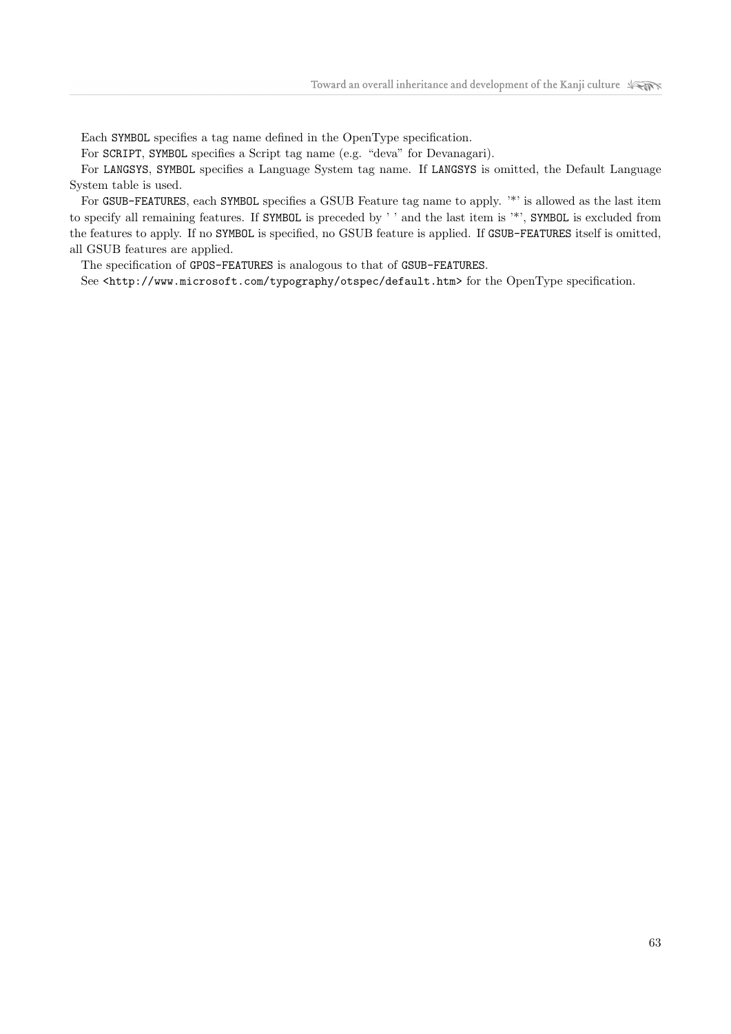Each SYMBOL specifies a tag name defined in the OpenType specification.

For SCRIPT, SYMBOL specifies a Script tag name (e.g. "deva" for Devanagari).

For LANGSYS, SYMBOL specifies a Language System tag name. If LANGSYS is omitted, the Default Language System table is used.

For GSUB-FEATURES, each SYMBOL specifies a GSUB Feature tag name to apply. '\*' is allowed as the last item to specify all remaining features. If SYMBOL is preceded by ' ' and the last item is '\*', SYMBOL is excluded from the features to apply. If no SYMBOL is specified, no GSUB feature is applied. If GSUB-FEATURES itself is omitted, all GSUB features are applied.

The specification of GPOS-FEATURES is analogous to that of GSUB-FEATURES.

See <http://www.microsoft.com/typography/otspec/default.htm> for the OpenType specification.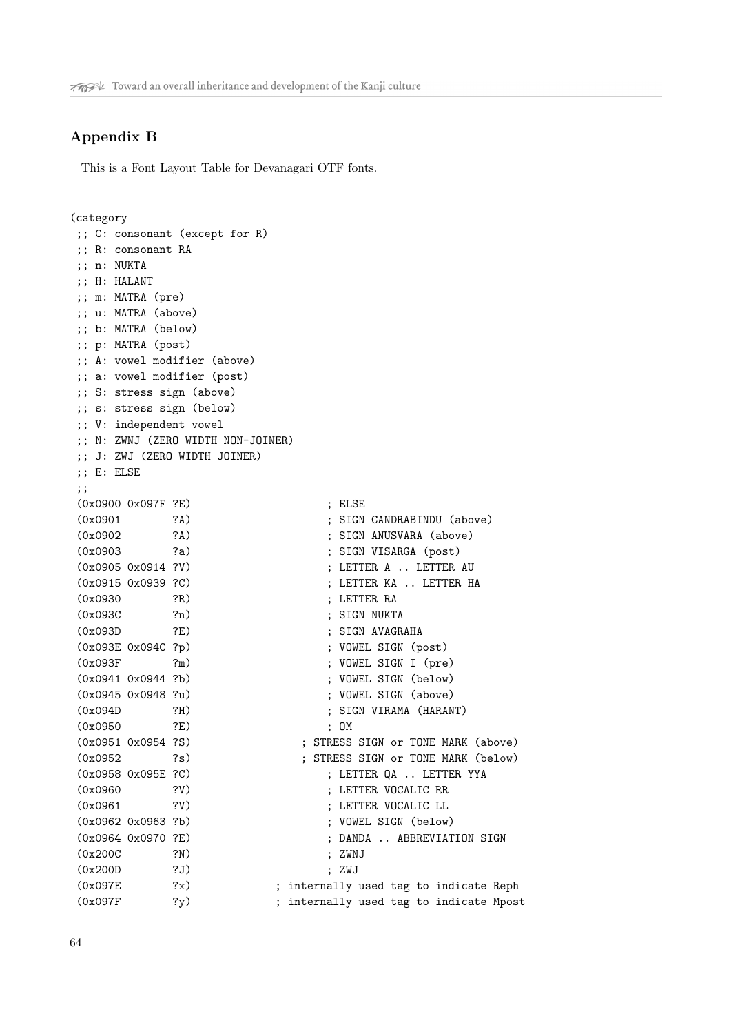# Appendix B

This is a Font Layout Table for Devanagari OTF fonts.

### (category

```
;; C: consonant (except for R)
;; R: consonant RA
;; n: NUKTA
;; H: HALANT
;; m: MATRA (pre)
;; u: MATRA (above)
;; b: MATRA (below)
;; p: MATRA (post)
;; A: vowel modifier (above)
;; a: vowel modifier (post)
;; S: stress sign (above)
;; s: stress sign (below)
;; V: independent vowel
;; N: ZWNJ (ZERO WIDTH NON-JOINER)
;; J: ZWJ (ZERO WIDTH JOINER)
;; E: ELSE
;;
(0x0900 0x097F ?E) ; ELSE
(0x0901 ?A) ; SIGN CANDRABINDU (above)
(0x0902 ?A) ; SIGN ANUSVARA (above)
(0x0903 ?a) ; SIGN VISARGA (post)
(0x0905 0x0914 ?V) ; LETTER A .. LETTER AU
(0x0915 0x0939 ?C) ; LETTER KA .. LETTER HA
(0x0930 ?R) ; LETTER RA
(0x093C ?n) ; SIGN NUKTA
(0x093D ?E) ; SIGN AVAGRAHA
(0x093E 0x094C ?p) ; VOWEL SIGN (post)
(0x093F ?m) ; VOWEL SIGN I (pre)
(0x0941 0x0944 ?b) ; VOWEL SIGN (below)
(0x0945 0x0948 ?u) ; VOWEL SIGN (above)
(0x094D ?H) ; SIGN VIRAMA (HARANT)
(0x0950 ?E) ; OM
(0x0951 0x0954 ?S) ; STRESS SIGN or TONE MARK (above)
(0x0952 ?s) ; STRESS SIGN or TONE MARK (below)
(0x0958 0x095E ?C) ; LETTER QA .. LETTER YYA
(0x0960 ?V) ; LETTER VOCALIC RR
(0x0961 ?V) ; LETTER VOCALIC LL
(0x0962 0x0963 ?b) ; VOWEL SIGN (below)
(0x0964 0x0970 ?E) ; DANDA .. ABBREVIATION SIGN
(0x200C ?N) ; ZWNJ
(0x200D ?J) ; ZWJ
(0x097E ?x) ; internally used tag to indicate Reph
(0x097F ?y) ; internally used tag to indicate Mpost
```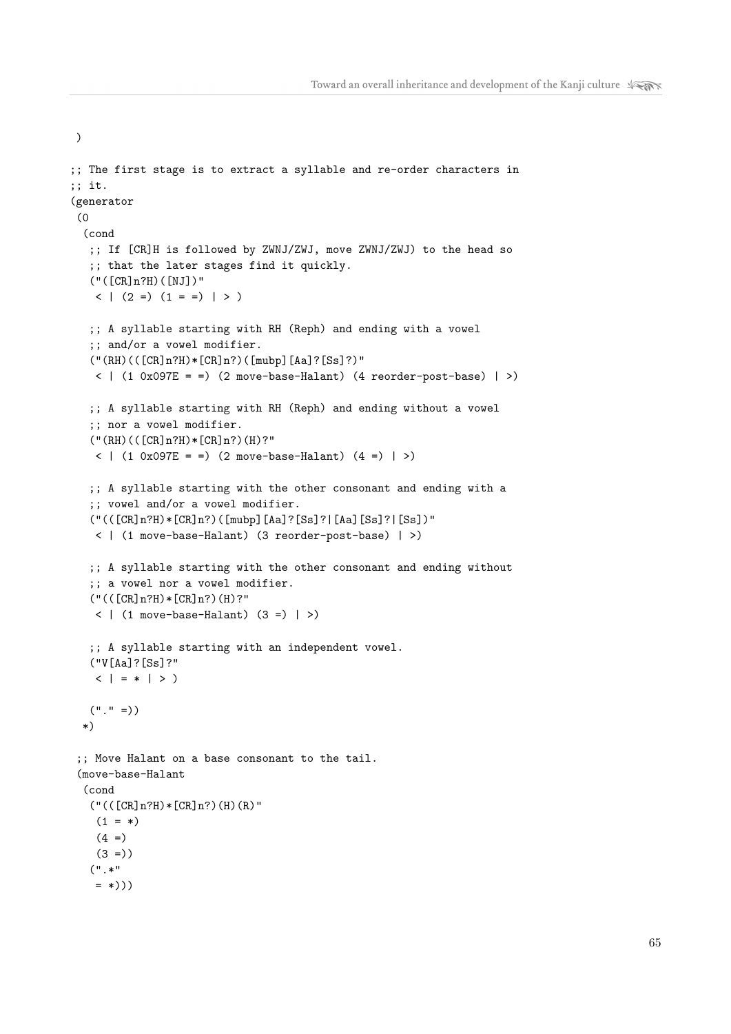```
;; The first stage is to extract a syllable and re-order characters in
;; it.
(generator
(0
  (cond
   ;; If [CR]H is followed by ZWNJ/ZWJ, move ZWNJ/ZWJ) to the head so
   ;; that the later stages find it quickly.
   ("([CR]n?H)([NJ])"
   \langle | (2 =) (1 = =) | > )
   ;; A syllable starting with RH (Reph) and ending with a vowel
   ;; and/or a vowel modifier.
   (''(RH)(([CR]n?H)*([CR]n?)([mubb][Aa]?([Ss]?)"
   \langle | (1 0x097E = =) (2 move-base-Halant) (4 reorder-post-base) | >)
   ;; A syllable starting with RH (Reph) and ending without a vowel
   ;; nor a vowel modifier.
   (''(RH)(([CR]n?H)*(CR]n?)(H)?"\langle | (1 0x097E = =) (2 move-base-Halant) (4 =) | >)
   ;; A syllable starting with the other consonant and ending with a
   ;; vowel and/or a vowel modifier.
   ("(([CR]n?H)*[CR]n?)([mubp][As]?[Ss]?[As][Ss]?[Ss])"
   < | (1 move-base-Halant) (3 reorder-post-base) | >)
   ;; A syllable starting with the other consonant and ending without
   ;; a vowel nor a vowel modifier.
   (''(([CR]n?H)*(CR]n?)(H)?"\langle | (1 move-base-Halant) (3 =) | >)
   ;; A syllable starting with an independent vowel.
   ("V[Aa]?[Ss]?"
   \langle | = * | > )
  (''.'' =))*)
 ;; Move Halant on a base consonant to the tail.
 (move-base-Halant
 (cond
   (''(([CR]n?H)*(CR]n?)(H)(R)''(1 = *)(4 =)(3 =))(".*"
   = *)))
```
)